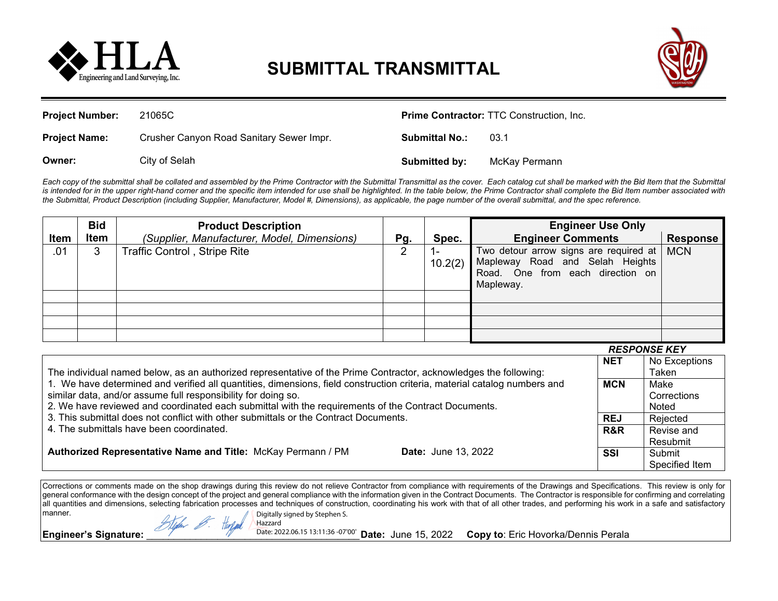

## **SUBMITTAL TRANSMITTAL**



| <b>Project Number:</b> | 21065C                                   | <b>Prime Contractor: TTC Construction, Inc.</b> |               |  |
|------------------------|------------------------------------------|-------------------------------------------------|---------------|--|
| <b>Project Name:</b>   | Crusher Canyon Road Sanitary Sewer Impr. | <b>Submittal No.:</b>                           | 03.1          |  |
| Owner:                 | City of Selah                            | Submitted by:                                   | McKay Permann |  |

Each copy of the submittal shall be collated and assembled by the Prime Contractor with the Submittal Transmittal as the cover. Each catalog cut shall be marked with the Bid Item that the Submittal is intended for in the upper right-hand corner and the specific item intended for use shall be highlighted. In the table below, the Prime Contractor shall complete the Bid Item number associated with *the Submittal, Product Description (including Supplier, Manufacturer, Model #, Dimensions), as applicable, the page number of the overall submittal, and the spec reference.*

|             | <b>Bid</b> | <b>Product Description</b>                  |     |                           | <b>Engineer Use Only</b>                                                                                                     |                 |
|-------------|------------|---------------------------------------------|-----|---------------------------|------------------------------------------------------------------------------------------------------------------------------|-----------------|
| <b>Item</b> | Item       | (Supplier, Manufacturer, Model, Dimensions) | Pg. | Spec.                     | <b>Engineer Comments</b>                                                                                                     | <b>Response</b> |
| .01         | 3          | <b>Traffic Control, Stripe Rite</b>         | 2   | $\blacksquare$<br>10.2(2) | Two detour arrow signs are required at  <br>Mapleway Road and Selah Heights<br>Road. One from each direction on<br>Mapleway. | <b>MCN</b>      |
|             |            |                                             |     |                           |                                                                                                                              |                 |
|             |            |                                             |     |                           |                                                                                                                              |                 |
|             |            |                                             |     |                           |                                                                                                                              |                 |
|             |            |                                             |     |                           |                                                                                                                              |                 |

|                                                                                                                                                                                             |                            |            | <b>RESPONSE KEY</b> |
|---------------------------------------------------------------------------------------------------------------------------------------------------------------------------------------------|----------------------------|------------|---------------------|
|                                                                                                                                                                                             |                            | <b>NET</b> | No Exceptions       |
| The individual named below, as an authorized representative of the Prime Contractor, acknowledges the following:                                                                            |                            | Taken      |                     |
| 1. We have determined and verified all quantities, dimensions, field construction criteria, material catalog numbers and                                                                    |                            |            | Make                |
| similar data, and/or assume full responsibility for doing so.                                                                                                                               |                            |            | Corrections         |
| 2. We have reviewed and coordinated each submittal with the requirements of the Contract Documents.<br>3. This submittal does not conflict with other submittals or the Contract Documents. |                            |            | Noted               |
|                                                                                                                                                                                             |                            |            | Rejected            |
| 4. The submittals have been coordinated.                                                                                                                                                    | R&R                        | Revise and |                     |
|                                                                                                                                                                                             | <b>Date:</b> June 13, 2022 |            | Resubmit            |
| Authorized Representative Name and Title: McKay Permann / PM                                                                                                                                |                            | <b>SSI</b> | Submit              |
|                                                                                                                                                                                             |                            |            | Specified Item      |

Corrections or comments made on the shop drawings during this review do not relieve Contractor from compliance with requirements of the Drawings and Specifications. This review is only for general conformance with the design concept of the project and general compliance with the information given in the Contract Documents. The Contractor is responsible for confirming and correlating all quantities and dimensions, selecting fabrication processes and techniques of construction, coordinating his work with that of all other trades, and performing his work in a safe and satisfactory manner. Digitally signed by Stephen S.

Hazzard

Waln & Harles

**Engineer's Signature:** 2022.06.15 13:11:36 -07'00' Date: June 15, 2022 Copy to: Eric Hovorka/Dennis Perala